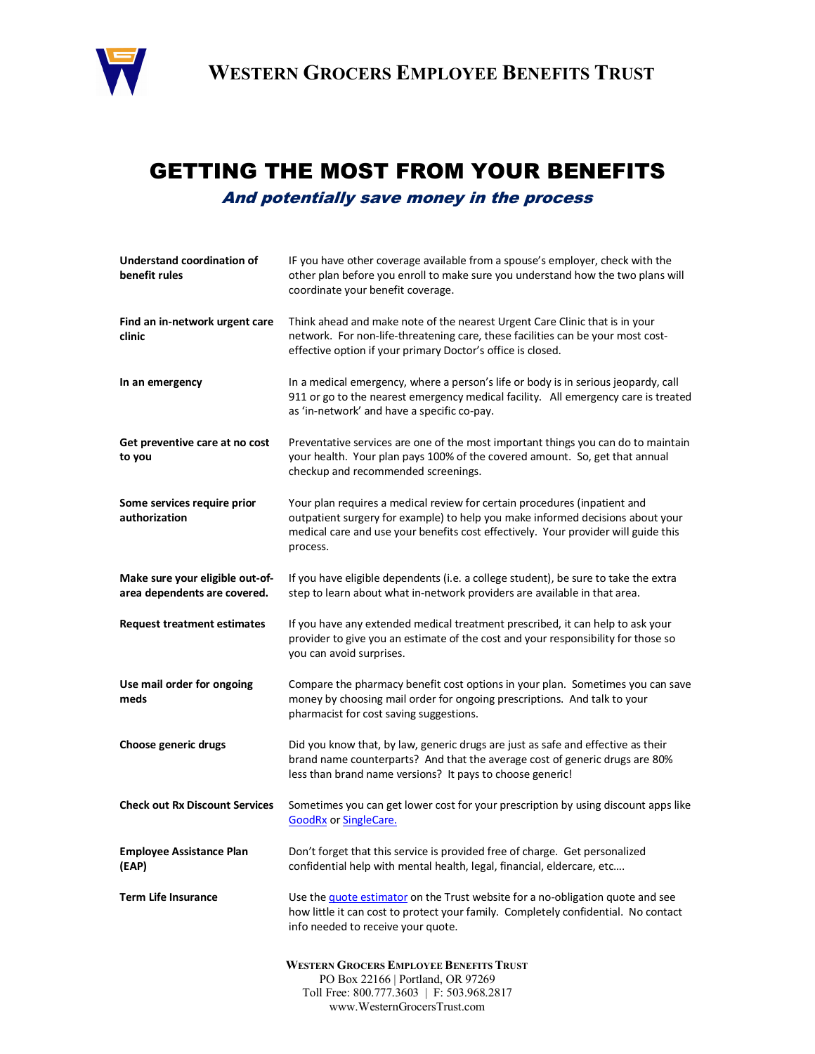

## GETTING THE MOST FROM YOUR BENEFITS

And potentially save money in the process

| <b>Understand coordination of</b><br>benefit rules              | IF you have other coverage available from a spouse's employer, check with the<br>other plan before you enroll to make sure you understand how the two plans will<br>coordinate your benefit coverage.                                                         |
|-----------------------------------------------------------------|---------------------------------------------------------------------------------------------------------------------------------------------------------------------------------------------------------------------------------------------------------------|
| Find an in-network urgent care<br>clinic                        | Think ahead and make note of the nearest Urgent Care Clinic that is in your<br>network. For non-life-threatening care, these facilities can be your most cost-<br>effective option if your primary Doctor's office is closed.                                 |
| In an emergency                                                 | In a medical emergency, where a person's life or body is in serious jeopardy, call<br>911 or go to the nearest emergency medical facility. All emergency care is treated<br>as 'in-network' and have a specific co-pay.                                       |
| Get preventive care at no cost<br>to you                        | Preventative services are one of the most important things you can do to maintain<br>your health. Your plan pays 100% of the covered amount. So, get that annual<br>checkup and recommended screenings.                                                       |
| Some services require prior<br>authorization                    | Your plan requires a medical review for certain procedures (inpatient and<br>outpatient surgery for example) to help you make informed decisions about your<br>medical care and use your benefits cost effectively. Your provider will guide this<br>process. |
| Make sure your eligible out-of-<br>area dependents are covered. | If you have eligible dependents (i.e. a college student), be sure to take the extra<br>step to learn about what in-network providers are available in that area.                                                                                              |
| <b>Request treatment estimates</b>                              | If you have any extended medical treatment prescribed, it can help to ask your<br>provider to give you an estimate of the cost and your responsibility for those so<br>you can avoid surprises.                                                               |
| Use mail order for ongoing<br>meds                              | Compare the pharmacy benefit cost options in your plan. Sometimes you can save<br>money by choosing mail order for ongoing prescriptions. And talk to your<br>pharmacist for cost saving suggestions.                                                         |
| Choose generic drugs                                            | Did you know that, by law, generic drugs are just as safe and effective as their<br>brand name counterparts? And that the average cost of generic drugs are 80%<br>less than brand name versions? It pays to choose generic!                                  |
| <b>Check out Rx Discount Services</b>                           | Sometimes you can get lower cost for your prescription by using discount apps like<br><b>GoodRx or SingleCare.</b>                                                                                                                                            |
| <b>Employee Assistance Plan</b><br>(EAP)                        | Don't forget that this service is provided free of charge. Get personalized<br>confidential help with mental health, legal, financial, eldercare, etc                                                                                                         |
| <b>Term Life Insurance</b>                                      | Use the quote estimator on the Trust website for a no-obligation quote and see<br>how little it can cost to protect your family. Completely confidential. No contact<br>info needed to receive your quote.                                                    |